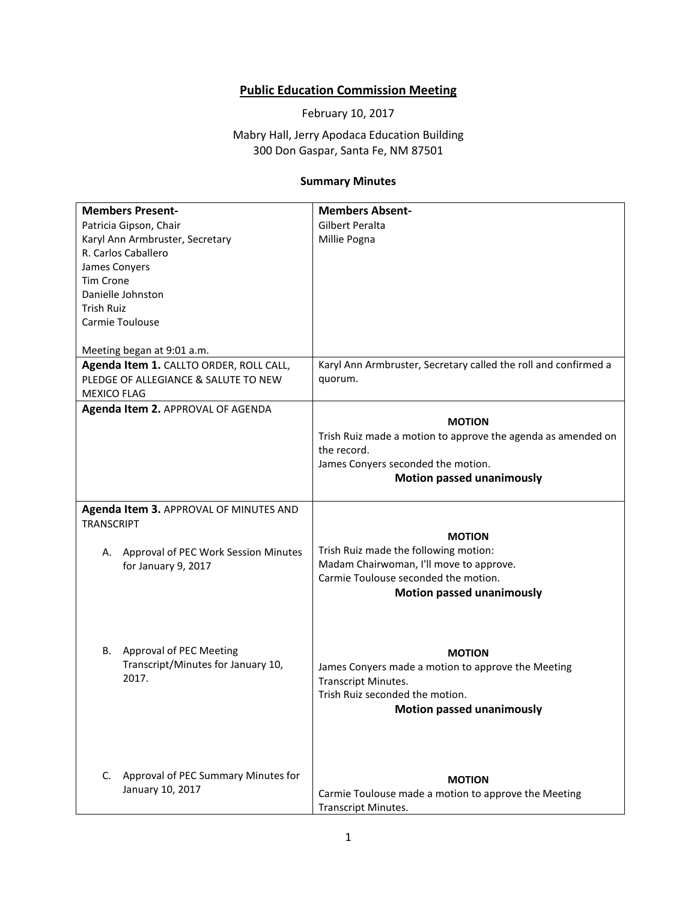## **Public Education Commission Meeting**

February 10, 2017

Mabry Hall, Jerry Apodaca Education Building 300 Don Gaspar, Santa Fe, NM 87501

## **Summary Minutes**

| <b>Members Present-</b>                    | <b>Members Absent-</b>                                          |
|--------------------------------------------|-----------------------------------------------------------------|
| Patricia Gipson, Chair                     | Gilbert Peralta                                                 |
| Karyl Ann Armbruster, Secretary            | Millie Pogna                                                    |
| R. Carlos Caballero                        |                                                                 |
| James Conyers                              |                                                                 |
| <b>Tim Crone</b>                           |                                                                 |
| Danielle Johnston                          |                                                                 |
| <b>Trish Ruiz</b>                          |                                                                 |
| Carmie Toulouse                            |                                                                 |
|                                            |                                                                 |
| Meeting began at 9:01 a.m.                 |                                                                 |
| Agenda Item 1. CALLTO ORDER, ROLL CALL,    | Karyl Ann Armbruster, Secretary called the roll and confirmed a |
| PLEDGE OF ALLEGIANCE & SALUTE TO NEW       | quorum.                                                         |
| <b>MEXICO FLAG</b>                         |                                                                 |
| Agenda Item 2. APPROVAL OF AGENDA          |                                                                 |
|                                            | <b>MOTION</b>                                                   |
|                                            | Trish Ruiz made a motion to approve the agenda as amended on    |
|                                            | the record.                                                     |
|                                            | James Conyers seconded the motion.                              |
|                                            | <b>Motion passed unanimously</b>                                |
|                                            |                                                                 |
| Agenda Item 3. APPROVAL OF MINUTES AND     |                                                                 |
| <b>TRANSCRIPT</b>                          |                                                                 |
|                                            | <b>MOTION</b>                                                   |
| Approval of PEC Work Session Minutes<br>А. | Trish Ruiz made the following motion:                           |
| for January 9, 2017                        | Madam Chairwoman, I'll move to approve.                         |
|                                            | Carmie Toulouse seconded the motion.                            |
|                                            | <b>Motion passed unanimously</b>                                |
|                                            |                                                                 |
|                                            |                                                                 |
|                                            |                                                                 |
| Approval of PEC Meeting<br>В.              | <b>MOTION</b>                                                   |
| Transcript/Minutes for January 10,         | James Conyers made a motion to approve the Meeting              |
| 2017.                                      | Transcript Minutes.                                             |
|                                            | Trish Ruiz seconded the motion.                                 |
|                                            |                                                                 |
|                                            | <b>Motion passed unanimously</b>                                |
|                                            |                                                                 |
|                                            |                                                                 |
|                                            |                                                                 |
| Approval of PEC Summary Minutes for<br>C.  | <b>MOTION</b>                                                   |
| January 10, 2017                           | Carmie Toulouse made a motion to approve the Meeting            |
|                                            | <b>Transcript Minutes.</b>                                      |
|                                            |                                                                 |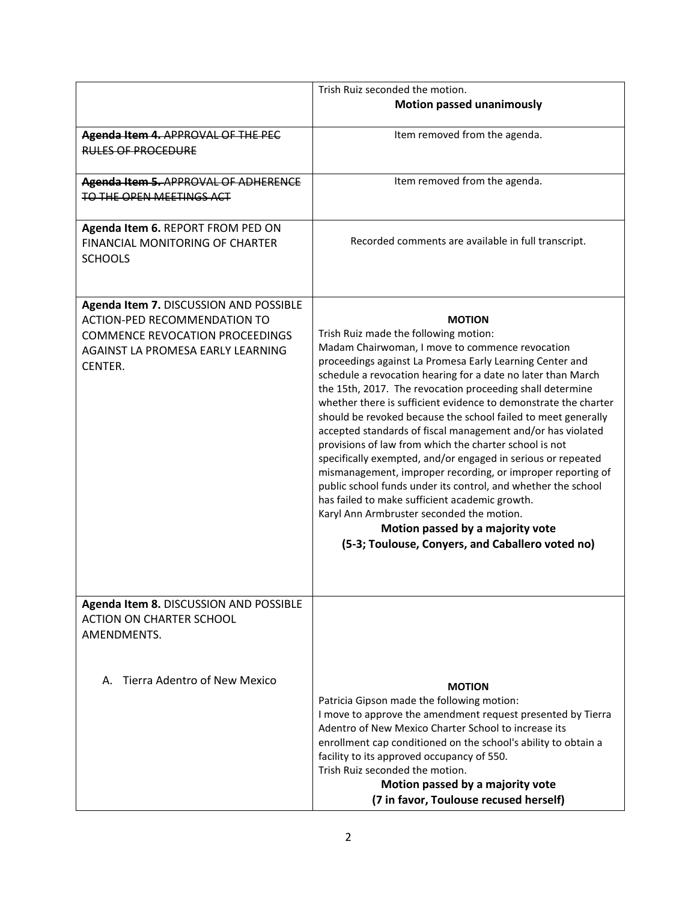|                                                                                                                                                                         | Trish Ruiz seconded the motion.                                                                                                                                                                                                                                                                                                                                                                                                                                                                                                                                                                                                                                                                                                                                                                                                                                                                                                                        |
|-------------------------------------------------------------------------------------------------------------------------------------------------------------------------|--------------------------------------------------------------------------------------------------------------------------------------------------------------------------------------------------------------------------------------------------------------------------------------------------------------------------------------------------------------------------------------------------------------------------------------------------------------------------------------------------------------------------------------------------------------------------------------------------------------------------------------------------------------------------------------------------------------------------------------------------------------------------------------------------------------------------------------------------------------------------------------------------------------------------------------------------------|
|                                                                                                                                                                         | <b>Motion passed unanimously</b>                                                                                                                                                                                                                                                                                                                                                                                                                                                                                                                                                                                                                                                                                                                                                                                                                                                                                                                       |
| Agenda Item 4. APPROVAL OF THE PEC<br><b>RULES OF PROCEDURE</b>                                                                                                         | Item removed from the agenda.                                                                                                                                                                                                                                                                                                                                                                                                                                                                                                                                                                                                                                                                                                                                                                                                                                                                                                                          |
| Agenda Item 5. APPROVAL OF ADHERENCE<br>TO THE OPEN MEETINGS ACT                                                                                                        | Item removed from the agenda.                                                                                                                                                                                                                                                                                                                                                                                                                                                                                                                                                                                                                                                                                                                                                                                                                                                                                                                          |
| Agenda Item 6. REPORT FROM PED ON<br><b>FINANCIAL MONITORING OF CHARTER</b><br><b>SCHOOLS</b>                                                                           | Recorded comments are available in full transcript.                                                                                                                                                                                                                                                                                                                                                                                                                                                                                                                                                                                                                                                                                                                                                                                                                                                                                                    |
| Agenda Item 7. DISCUSSION AND POSSIBLE<br><b>ACTION-PED RECOMMENDATION TO</b><br><b>COMMENCE REVOCATION PROCEEDINGS</b><br>AGAINST LA PROMESA EARLY LEARNING<br>CENTER. | <b>MOTION</b><br>Trish Ruiz made the following motion:<br>Madam Chairwoman, I move to commence revocation<br>proceedings against La Promesa Early Learning Center and<br>schedule a revocation hearing for a date no later than March<br>the 15th, 2017. The revocation proceeding shall determine<br>whether there is sufficient evidence to demonstrate the charter<br>should be revoked because the school failed to meet generally<br>accepted standards of fiscal management and/or has violated<br>provisions of law from which the charter school is not<br>specifically exempted, and/or engaged in serious or repeated<br>mismanagement, improper recording, or improper reporting of<br>public school funds under its control, and whether the school<br>has failed to make sufficient academic growth.<br>Karyl Ann Armbruster seconded the motion.<br>Motion passed by a majority vote<br>(5-3; Toulouse, Conyers, and Caballero voted no) |
| Agenda Item 8. DISCUSSION AND POSSIBLE<br><b>ACTION ON CHARTER SCHOOL</b><br>AMENDMENTS.                                                                                |                                                                                                                                                                                                                                                                                                                                                                                                                                                                                                                                                                                                                                                                                                                                                                                                                                                                                                                                                        |
| Tierra Adentro of New Mexico<br>А.                                                                                                                                      | <b>MOTION</b><br>Patricia Gipson made the following motion:<br>I move to approve the amendment request presented by Tierra<br>Adentro of New Mexico Charter School to increase its<br>enrollment cap conditioned on the school's ability to obtain a<br>facility to its approved occupancy of 550.<br>Trish Ruiz seconded the motion.<br>Motion passed by a majority vote<br>(7 in favor, Toulouse recused herself)                                                                                                                                                                                                                                                                                                                                                                                                                                                                                                                                    |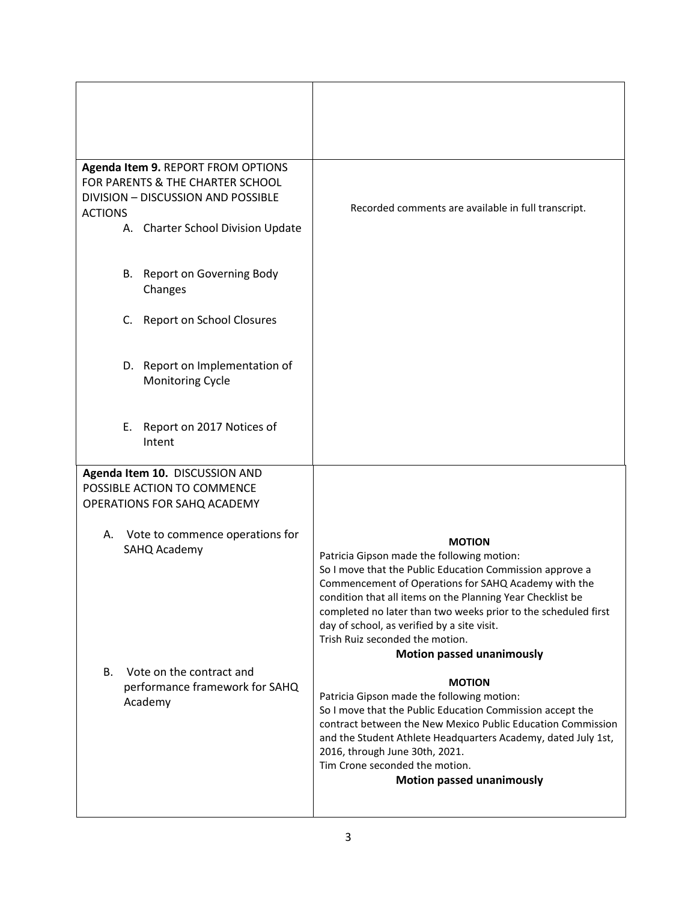| Agenda Item 9. REPORT FROM OPTIONS    |                                                                |
|---------------------------------------|----------------------------------------------------------------|
| FOR PARENTS & THE CHARTER SCHOOL      |                                                                |
| DIVISION - DISCUSSION AND POSSIBLE    | Recorded comments are available in full transcript.            |
| <b>ACTIONS</b>                        |                                                                |
| A. Charter School Division Update     |                                                                |
|                                       |                                                                |
| B. Report on Governing Body           |                                                                |
| Changes                               |                                                                |
|                                       |                                                                |
| Report on School Closures<br>C.       |                                                                |
|                                       |                                                                |
|                                       |                                                                |
| D. Report on Implementation of        |                                                                |
| Monitoring Cycle                      |                                                                |
|                                       |                                                                |
|                                       |                                                                |
| Report on 2017 Notices of<br>Ε.       |                                                                |
| Intent                                |                                                                |
|                                       |                                                                |
| Agenda Item 10. DISCUSSION AND        |                                                                |
| POSSIBLE ACTION TO COMMENCE           |                                                                |
| OPERATIONS FOR SAHQ ACADEMY           |                                                                |
|                                       |                                                                |
| Vote to commence operations for<br>А. | <b>MOTION</b>                                                  |
| SAHQ Academy                          | Patricia Gipson made the following motion:                     |
|                                       | So I move that the Public Education Commission approve a       |
|                                       | Commencement of Operations for SAHQ Academy with the           |
|                                       | condition that all items on the Planning Year Checklist be     |
|                                       | completed no later than two weeks prior to the scheduled first |
|                                       | day of school, as verified by a site visit.                    |
|                                       | Trish Ruiz seconded the motion.                                |
|                                       | <b>Motion passed unanimously</b>                               |
| Vote on the contract and<br>В.        | <b>MOTION</b>                                                  |
| performance framework for SAHQ        | Patricia Gipson made the following motion:                     |
| Academy                               | So I move that the Public Education Commission accept the      |
|                                       | contract between the New Mexico Public Education Commission    |
|                                       | and the Student Athlete Headquarters Academy, dated July 1st,  |
|                                       | 2016, through June 30th, 2021.                                 |
|                                       | Tim Crone seconded the motion.                                 |
|                                       | <b>Motion passed unanimously</b>                               |
|                                       |                                                                |
|                                       |                                                                |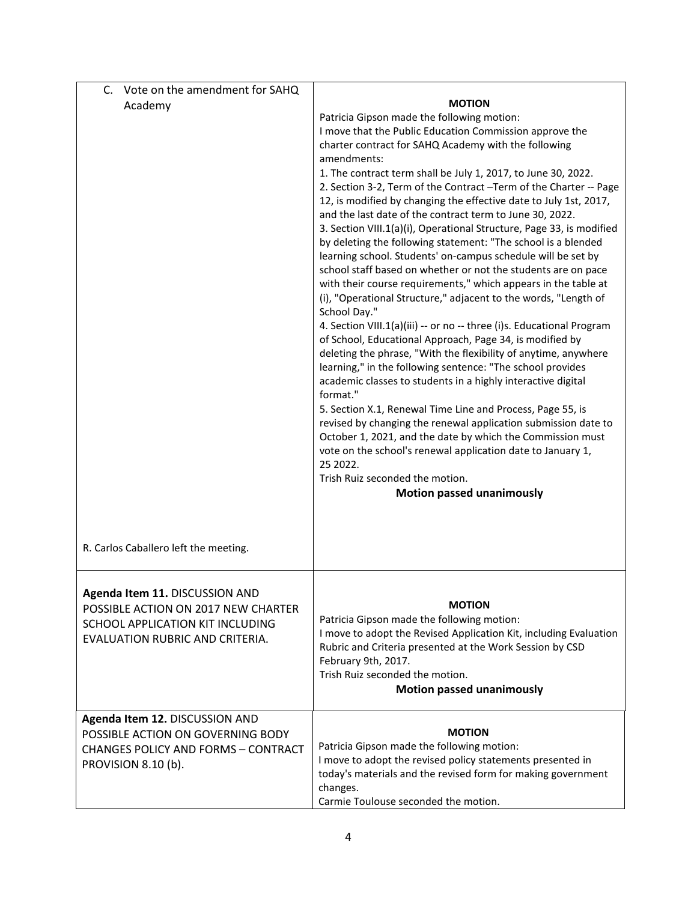| Vote on the amendment for SAHQ<br>C.       |                                                                                                                               |
|--------------------------------------------|-------------------------------------------------------------------------------------------------------------------------------|
| Academy                                    | <b>MOTION</b>                                                                                                                 |
|                                            | Patricia Gipson made the following motion:                                                                                    |
|                                            | I move that the Public Education Commission approve the                                                                       |
|                                            | charter contract for SAHQ Academy with the following                                                                          |
|                                            | amendments:                                                                                                                   |
|                                            | 1. The contract term shall be July 1, 2017, to June 30, 2022.                                                                 |
|                                            | 2. Section 3-2, Term of the Contract -Term of the Charter -- Page                                                             |
|                                            | 12, is modified by changing the effective date to July 1st, 2017,<br>and the last date of the contract term to June 30, 2022. |
|                                            | 3. Section VIII.1(a)(i), Operational Structure, Page 33, is modified                                                          |
|                                            | by deleting the following statement: "The school is a blended                                                                 |
|                                            | learning school. Students' on-campus schedule will be set by                                                                  |
|                                            | school staff based on whether or not the students are on pace                                                                 |
|                                            | with their course requirements," which appears in the table at                                                                |
|                                            | (i), "Operational Structure," adjacent to the words, "Length of                                                               |
|                                            | School Day."                                                                                                                  |
|                                            | 4. Section VIII.1(a)(iii) -- or no -- three (i)s. Educational Program                                                         |
|                                            | of School, Educational Approach, Page 34, is modified by                                                                      |
|                                            | deleting the phrase, "With the flexibility of anytime, anywhere                                                               |
|                                            | learning," in the following sentence: "The school provides                                                                    |
|                                            | academic classes to students in a highly interactive digital                                                                  |
|                                            | format."                                                                                                                      |
|                                            | 5. Section X.1, Renewal Time Line and Process, Page 55, is                                                                    |
|                                            | revised by changing the renewal application submission date to<br>October 1, 2021, and the date by which the Commission must  |
|                                            | vote on the school's renewal application date to January 1,                                                                   |
|                                            | 25 2022.                                                                                                                      |
|                                            | Trish Ruiz seconded the motion.                                                                                               |
|                                            | <b>Motion passed unanimously</b>                                                                                              |
|                                            |                                                                                                                               |
|                                            |                                                                                                                               |
| R. Carlos Caballero left the meeting.      |                                                                                                                               |
|                                            |                                                                                                                               |
|                                            |                                                                                                                               |
| Agenda Item 11. DISCUSSION AND             |                                                                                                                               |
| POSSIBLE ACTION ON 2017 NEW CHARTER        | <b>MOTION</b>                                                                                                                 |
| SCHOOL APPLICATION KIT INCLUDING           | Patricia Gipson made the following motion:                                                                                    |
| EVALUATION RUBRIC AND CRITERIA.            | I move to adopt the Revised Application Kit, including Evaluation                                                             |
|                                            | Rubric and Criteria presented at the Work Session by CSD                                                                      |
|                                            | February 9th, 2017.                                                                                                           |
|                                            | Trish Ruiz seconded the motion.                                                                                               |
|                                            | <b>Motion passed unanimously</b>                                                                                              |
| Agenda Item 12. DISCUSSION AND             |                                                                                                                               |
| POSSIBLE ACTION ON GOVERNING BODY          | <b>MOTION</b>                                                                                                                 |
| <b>CHANGES POLICY AND FORMS - CONTRACT</b> | Patricia Gipson made the following motion:                                                                                    |
| PROVISION 8.10 (b).                        | I move to adopt the revised policy statements presented in                                                                    |
|                                            | today's materials and the revised form for making government                                                                  |
|                                            | changes.                                                                                                                      |
|                                            | Carmie Toulouse seconded the motion.                                                                                          |